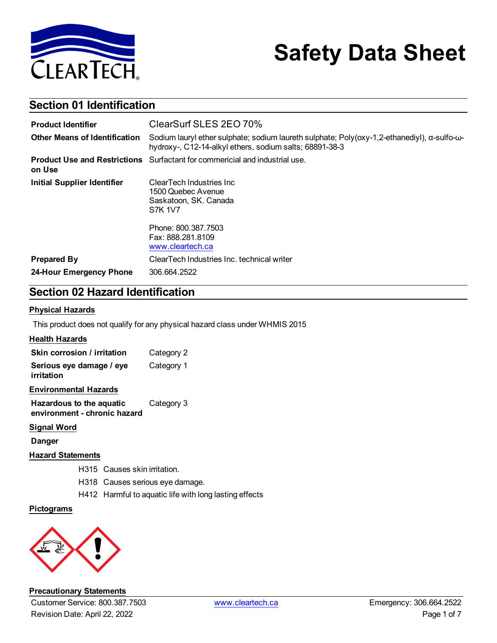

# **Safety Data Sheet**

### **Section 01 Identification**

| <b>Product Identifier</b>            | ClearSurf SLES 2EO 70%                                                                                                                                 |  |  |  |
|--------------------------------------|--------------------------------------------------------------------------------------------------------------------------------------------------------|--|--|--|
| <b>Other Means of Identification</b> | Sodium lauryl ether sulphate; sodium laureth sulphate; Poly(oxy-1,2-ethanediyl), α-sulfo-ω-<br>hydroxy-, C12-14-alkyl ethers, sodium salts; 68891-38-3 |  |  |  |
| on Use                               | <b>Product Use and Restrictions</b> Surfactant for commericial and industrial use.                                                                     |  |  |  |
| <b>Initial Supplier Identifier</b>   | ClearTech Industries Inc.<br>1500 Quebec Avenue<br>Saskatoon, SK. Canada<br><b>S7K 1V7</b>                                                             |  |  |  |
|                                      | Phone: 800.387.7503<br>Fax: 888.281.8109<br>www.cleartech.ca                                                                                           |  |  |  |
| <b>Prepared By</b>                   | ClearTech Industries Inc. technical writer                                                                                                             |  |  |  |
| 24-Hour Emergency Phone              | 306.664.2522                                                                                                                                           |  |  |  |

### **Section 02 Hazard Identification**

#### **Physical Hazards**

This product does not qualify for any physical hazard class under WHMIS 2015

#### **Health Hazards**

| Skin corrosion / irritation            | Category 2 |
|----------------------------------------|------------|
| Serious eye damage / eye<br>irritation | Category 1 |

#### **Environmental Hazards**

**Hazardous to the aquatic environment - chronic hazard** Category 3

#### **Signal Word**

**Danger**

### **Hazard Statements**

- H315 Causes skin irritation.
- H318 Causes serious eye damage.
- H412 Harmful to aquatic life with long lasting effects

#### **Pictograms**



#### **Precautionary Statements**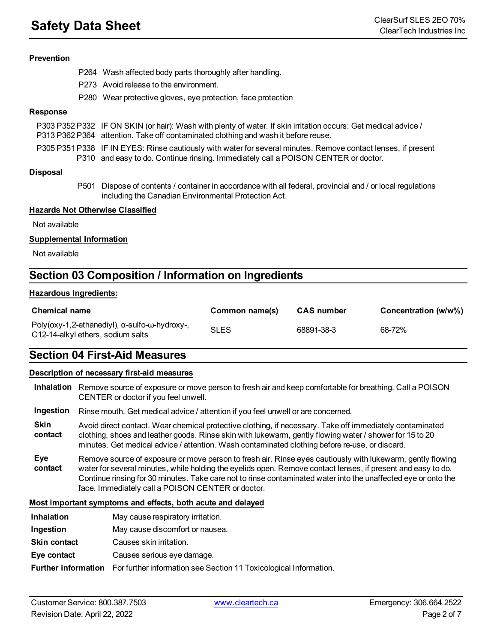#### **Prevention**

- P264 Wash affected body parts thoroughly after handling.
- P273 Avoid release to the environment.
- P280 Wear protective gloves, eye protection, face protection

#### **Response**

| P303 P352 P332 IF ON SKIN (or hair): Wash with plenty of water. If skin irritation occurs: Get medical advice / |
|-----------------------------------------------------------------------------------------------------------------|
| P313 P362 P364 attention. Take off contaminated clothing and wash it before reuse.                              |

P305 P351 P338 IF IN EYES: Rinse cautiously with water for several minutes. Remove contact lenses, if present P310 and easy to do. Continue rinsing. Immediately call a POISON CENTER or doctor.

#### **Disposal**

P501 Dispose of contents / container in accordance with all federal, provincial and / or local regulations including the Canadian Environmental Protection Act.

#### **Hazards Not Otherwise Classified**

Not available

#### **Supplemental Information**

Not available

### **Section 03 Composition / Information on Ingredients**

#### **Hazardous Ingredients:**

| <b>Chemical name</b>                                                                                | Common name(s) | <b>CAS</b> number | Concentration (w/w%) |
|-----------------------------------------------------------------------------------------------------|----------------|-------------------|----------------------|
| Poly(oxy-1,2-ethanediyl), $\alpha$ -sulfo- $\omega$ -hydroxy-,<br>C12-14-alkyl ethers, sodium salts | <b>SLES</b>    | 68891-38-3        | 68-72%               |

### **Section 04 First-Aid Measures**

#### **Description of necessary first-aid measures**

- **Inhalation** Remove source of exposure or move person to fresh air and keep comfortable for breathing. Call a POISON CENTER or doctor if you feel unwell.
- **Ingestion** Rinse mouth. Get medical advice / attention if you feel unwell or are concerned.
- **Skin contact** Avoid direct contact. Wear chemical protective clothing, if necessary. Take off immediately contaminated clothing, shoes and leather goods. Rinse skin with lukewarm, gently flowing water / shower for 15 to 20 minutes. Get medical advice / attention. Wash contaminated clothing before re-use, or discard.
- **Eye contact** Remove source of exposure or move person to fresh air. Rinse eyes cautiously with lukewarm, gently flowing water for several minutes, while holding the eyelids open. Remove contact lenses, if present and easy to do. Continue rinsing for 30 minutes. Take care not to rinse contaminated water into the unaffected eye or onto the face. Immediately call a POISON CENTER or doctor.

#### **Most important symptoms and effects, both acute and delayed**

- **Inhalation** May cause respiratory irritation.
- **Ingestion** May cause discomfort or nausea.
- **Skin contact** Causes skin irritation.
- **Eye contact** Causes serious eye damage.

**Further information** For further information see Section 11 Toxicological Information.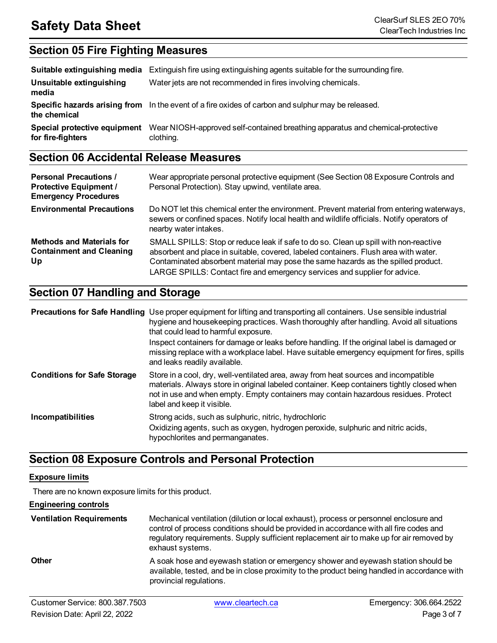### **Section 05 Fire Fighting Measures**

|                                                   | <b>Suitable extinguishing media</b> Extinguish fire using extinguishing agents suitable for the surrounding fire. |
|---------------------------------------------------|-------------------------------------------------------------------------------------------------------------------|
| Unsuitable extinguishing<br>media                 | Water jets are not recommended in fires involving chemicals.                                                      |
| the chemical                                      | Specific hazards arising from In the event of a fire oxides of carbon and sulphur may be released.                |
| Special protective equipment<br>for fire-fighters | Wear NIOSH-approved self-contained breathing apparatus and chemical-protective<br>clothing.                       |

### **Section 06 Accidental Release Measures**

| <b>Personal Precautions /</b><br><b>Protective Equipment /</b><br><b>Emergency Procedures</b> | Wear appropriate personal protective equipment (See Section 08 Exposure Controls and<br>Personal Protection). Stay upwind, ventilate area.                                                                                                                                                                                                      |
|-----------------------------------------------------------------------------------------------|-------------------------------------------------------------------------------------------------------------------------------------------------------------------------------------------------------------------------------------------------------------------------------------------------------------------------------------------------|
| <b>Environmental Precautions</b>                                                              | Do NOT let this chemical enter the environment. Prevent material from entering waterways,<br>sewers or confined spaces. Notify local health and wildlife officials. Notify operators of<br>nearby water intakes.                                                                                                                                |
| <b>Methods and Materials for</b><br><b>Containment and Cleaning</b><br>Up                     | SMALL SPILLS: Stop or reduce leak if safe to do so. Clean up spill with non-reactive<br>absorbent and place in suitable, covered, labeled containers. Flush area with water.<br>Contaminated absorbent material may pose the same hazards as the spilled product.<br>LARGE SPILLS: Contact fire and emergency services and supplier for advice. |

### **Section 07 Handling and Storage**

|                                    | <b>Precautions for Safe Handling</b> Use proper equipment for lifting and transporting all containers. Use sensible industrial<br>hygiene and housekeeping practices. Wash thoroughly after handling. Avoid all situations<br>that could lead to harmful exposure.<br>Inspect containers for damage or leaks before handling. If the original label is damaged or<br>missing replace with a workplace label. Have suitable emergency equipment for fires, spills<br>and leaks readily available. |
|------------------------------------|--------------------------------------------------------------------------------------------------------------------------------------------------------------------------------------------------------------------------------------------------------------------------------------------------------------------------------------------------------------------------------------------------------------------------------------------------------------------------------------------------|
| <b>Conditions for Safe Storage</b> | Store in a cool, dry, well-ventilated area, away from heat sources and incompatible<br>materials. Always store in original labeled container. Keep containers tightly closed when<br>not in use and when empty. Empty containers may contain hazardous residues. Protect<br>label and keep it visible.                                                                                                                                                                                           |
| <b>Incompatibilities</b>           | Strong acids, such as sulphuric, nitric, hydrochloric<br>Oxidizing agents, such as oxygen, hydrogen peroxide, sulphuric and nitric acids,<br>hypochlorites and permanganates.                                                                                                                                                                                                                                                                                                                    |

### **Section 08 Exposure Controls and Personal Protection**

#### **Exposure limits**

There are no known exposure limits for this product.

### **Engineering controls**

| <b>Ventilation Requirements</b> | Mechanical ventilation (dilution or local exhaust), process or personnel enclosure and<br>control of process conditions should be provided in accordance with all fire codes and<br>regulatory requirements. Supply sufficient replacement air to make up for air removed by<br>exhaust systems. |
|---------------------------------|--------------------------------------------------------------------------------------------------------------------------------------------------------------------------------------------------------------------------------------------------------------------------------------------------|
| <b>Other</b>                    | A soak hose and eyewash station or emergency shower and eyewash station should be<br>available, tested, and be in close proximity to the product being handled in accordance with<br>provincial regulations.                                                                                     |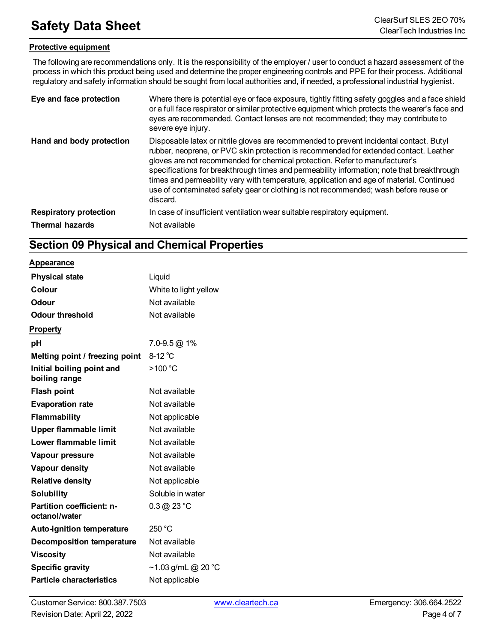### **Protective equipment**

The following are recommendations only. It is the responsibility of the employer / user to conduct a hazard assessment of the process in which this product being used and determine the proper engineering controls and PPE for their process. Additional regulatory and safety information should be sought from local authorities and, if needed, a professional industrial hygienist.

| Eye and face protection       | Where there is potential eye or face exposure, tightly fitting safety goggles and a face shield<br>or a full face respirator or similar protective equipment which protects the wearer's face and<br>eyes are recommended. Contact lenses are not recommended; they may contribute to<br>severe eye injury.                                                                                                                                                                                                                                                   |
|-------------------------------|---------------------------------------------------------------------------------------------------------------------------------------------------------------------------------------------------------------------------------------------------------------------------------------------------------------------------------------------------------------------------------------------------------------------------------------------------------------------------------------------------------------------------------------------------------------|
| Hand and body protection      | Disposable latex or nitrile gloves are recommended to prevent incidental contact. Butyl<br>rubber, neoprene, or PVC skin protection is recommended for extended contact. Leather<br>gloves are not recommended for chemical protection. Refer to manufacturer's<br>specifications for breakthrough times and permeability information; note that breakthrough<br>times and permeability vary with temperature, application and age of material. Continued<br>use of contaminated safety gear or clothing is not recommended; wash before reuse or<br>discard. |
| <b>Respiratory protection</b> | In case of insufficient ventilation wear suitable respiratory equipment.                                                                                                                                                                                                                                                                                                                                                                                                                                                                                      |
| <b>Thermal hazards</b>        | Not available                                                                                                                                                                                                                                                                                                                                                                                                                                                                                                                                                 |

### **Section 09 Physical and Chemical Properties**

#### **Appearance**

| <b>Physical state</b>                      | Liquid                           |
|--------------------------------------------|----------------------------------|
| Colour                                     | White to light yellow            |
| <b>Odour</b>                               | Not available                    |
| <b>Odour threshold</b>                     | Not available                    |
| <b>Property</b>                            |                                  |
| рH                                         | $7.0 - 9.5$ @ 1%                 |
| Melting point / freezing point             | $8-12^{\circ}$ C                 |
| Initial boiling point and<br>boiling range | >100 °C                          |
| <b>Flash point</b>                         | Not available                    |
| <b>Evaporation rate</b>                    | Not available                    |
| Flammability                               | Not applicable                   |
| <b>Upper flammable limit</b>               | Not available                    |
| Lower flammable limit                      | Not available                    |
| Vapour pressure                            | Not available                    |
| Vapour density                             | Not available                    |
| <b>Relative density</b>                    | Not applicable                   |
| <b>Solubility</b>                          | Soluble in water                 |
| Partition coefficient: n-<br>octanol/water | $0.3 \, @.23 \, ^\circ \text{C}$ |
| <b>Auto-ignition temperature</b>           | 250 °C                           |
| <b>Decomposition temperature</b>           | Not available                    |
| <b>Viscosity</b>                           | Not available                    |
| <b>Specific gravity</b>                    | ~1.03 g/mL @ 20 °C               |
| <b>Particle characteristics</b>            | Not applicable                   |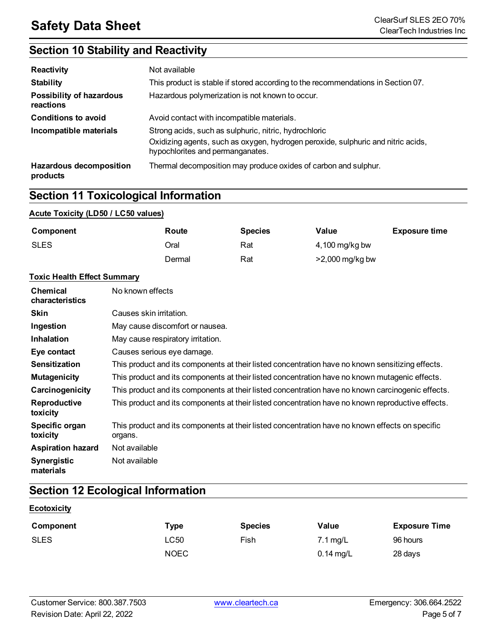### **Section 10 Stability and Reactivity**

| <b>Reactivity</b>                          | Not available                                                                                                                                                                 |
|--------------------------------------------|-------------------------------------------------------------------------------------------------------------------------------------------------------------------------------|
| <b>Stability</b>                           | This product is stable if stored according to the recommendations in Section 07.                                                                                              |
| Possibility of hazardous<br>reactions      | Hazardous polymerization is not known to occur.                                                                                                                               |
| <b>Conditions to avoid</b>                 | Avoid contact with incompatible materials.                                                                                                                                    |
| Incompatible materials                     | Strong acids, such as sulphuric, nitric, hydrochloric<br>Oxidizing agents, such as oxygen, hydrogen peroxide, sulphuric and nitric acids,<br>hypochlorites and permanganates. |
| <b>Hazardous decomposition</b><br>products | Thermal decomposition may produce oxides of carbon and sulphur.                                                                                                               |

### **Section 11 Toxicological Information**

### **Acute Toxicity (LD50 / LC50 values)**

| Component   | Route  | <b>Species</b> | Value             | <b>Exposure time</b> |
|-------------|--------|----------------|-------------------|----------------------|
| <b>SLES</b> | Oral   | Rat            | $4,100$ mg/kg bw  |                      |
|             | Dermal | Rat            | $>2,000$ mg/kg bw |                      |

#### **Toxic Health Effect Summary**

| <b>Chemical</b><br>characteristics | No known effects                                                                                           |
|------------------------------------|------------------------------------------------------------------------------------------------------------|
| <b>Skin</b>                        | Causes skin irritation.                                                                                    |
| Ingestion                          | May cause discomfort or nausea.                                                                            |
| <b>Inhalation</b>                  | May cause respiratory irritation.                                                                          |
| Eye contact                        | Causes serious eye damage.                                                                                 |
| <b>Sensitization</b>               | This product and its components at their listed concentration have no known sensitizing effects.           |
| <b>Mutagenicity</b>                | This product and its components at their listed concentration have no known mutagenic effects.             |
| Carcinogenicity                    | This product and its components at their listed concentration have no known carcinogenic effects.          |
| Reproductive<br>toxicity           | This product and its components at their listed concentration have no known reproductive effects.          |
| Specific organ<br>toxicity         | This product and its components at their listed concentration have no known effects on specific<br>organs. |
| <b>Aspiration hazard</b>           | Not available                                                                                              |
| <b>Synergistic</b><br>materials    | Not available                                                                                              |

### **Section 12 Ecological Information**

| Component   | <b>Type</b> | <b>Species</b> | Value                 | <b>Exposure Time</b> |
|-------------|-------------|----------------|-----------------------|----------------------|
| <b>SLES</b> | ∟C50        | Fish           | $7.1 \,\mathrm{mg/L}$ | 96 hours             |
|             | <b>NOEC</b> |                | $0.14$ mg/L           | 28 days              |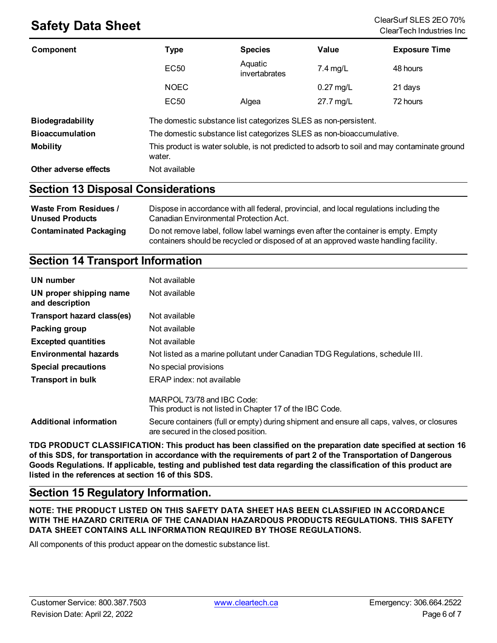## **Safety Data Sheet** ClearSurf SLES 2EO 70%

| Component                                 | <b>Type</b>      | <b>Species</b>                                                       | Value       | <b>Exposure Time</b>                                                                         |
|-------------------------------------------|------------------|----------------------------------------------------------------------|-------------|----------------------------------------------------------------------------------------------|
|                                           | <b>EC50</b>      | Aquatic<br>invertabrates                                             | $7.4$ mg/L  | 48 hours                                                                                     |
|                                           | <b>NOEC</b>      |                                                                      | $0.27$ mg/L | 21 days                                                                                      |
|                                           | EC <sub>50</sub> | Algea                                                                | 27.7 mg/L   | 72 hours                                                                                     |
| <b>Biodegradability</b>                   |                  | The domestic substance list categorizes SLES as non-persistent.      |             |                                                                                              |
| <b>Bioaccumulation</b>                    |                  | The domestic substance list categorizes SLES as non-bioaccumulative. |             |                                                                                              |
| <b>Mobility</b>                           | water.           |                                                                      |             | This product is water soluble, is not predicted to adsorb to soil and may contaminate ground |
| Other adverse effects                     | Not available    |                                                                      |             |                                                                                              |
| <b>Continue 40 Diamond Considerations</b> |                  |                                                                      |             |                                                                                              |

### **Section 13 Disposal Considerations**

| <b>Waste From Residues /</b>  | Dispose in accordance with all federal, provincial, and local regulations including the                                                                                     |
|-------------------------------|-----------------------------------------------------------------------------------------------------------------------------------------------------------------------------|
| <b>Unused Products</b>        | Canadian Environmental Protection Act.                                                                                                                                      |
| <b>Contaminated Packaging</b> | Do not remove label, follow label warnings even after the container is empty. Empty<br>containers should be recycled or disposed of at an approved waste handling facility. |

### **Section 14 Transport Information**

| UN number                                  | Not available                                                                                                                     |
|--------------------------------------------|-----------------------------------------------------------------------------------------------------------------------------------|
| UN proper shipping name<br>and description | Not available                                                                                                                     |
| Transport hazard class(es)                 | Not available                                                                                                                     |
| Packing group                              | Not available                                                                                                                     |
| <b>Excepted quantities</b>                 | Not available                                                                                                                     |
| <b>Environmental hazards</b>               | Not listed as a marine pollutant under Canadian TDG Regulations, schedule III.                                                    |
| <b>Special precautions</b>                 | No special provisions                                                                                                             |
| <b>Transport in bulk</b>                   | ERAP index: not available                                                                                                         |
|                                            | MARPOL 73/78 and IBC Code:<br>This product is not listed in Chapter 17 of the IBC Code.                                           |
| <b>Additional information</b>              | Secure containers (full or empty) during shipment and ensure all caps, valves, or closures<br>are secured in the closed position. |

**TDG PRODUCT CLASSIFICATION: This product has been classified on the preparation date specified at section 16** of this SDS, for transportation in accordance with the requirements of part 2 of the Transportation of Dangerous Goods Regulations. If applicable, testing and published test data regarding the classification of this product are **listed in the references at section 16 of this SDS.**

### **Section 15 Regulatory Information.**

**NOTE: THE PRODUCT LISTED ON THIS SAFETY DATA SHEET HAS BEEN CLASSIFIED IN ACCORDANCE WITH THE HAZARD CRITERIA OF THE CANADIAN HAZARDOUS PRODUCTS REGULATIONS. THIS SAFETY DATA SHEET CONTAINS ALL INFORMATION REQUIRED BY THOSE REGULATIONS.**

All components of this product appear on the domestic substance list.